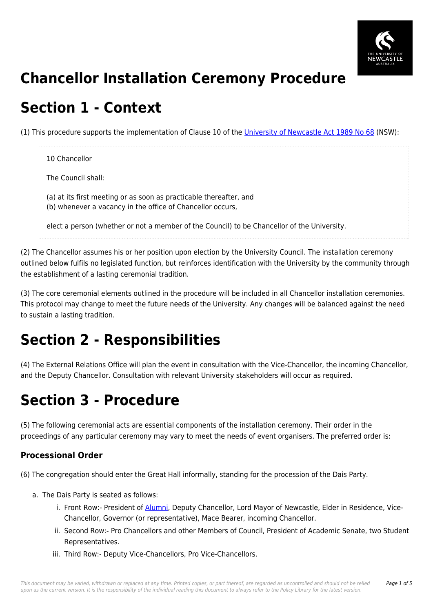

# **Chancellor Installation Ceremony Procedure**

## **Section 1 - Context**

(1) This procedure supports the implementation of Clause 10 of the [University of Newcastle Act 1989 No 68](https://policies.newcastle.edu.au/directory-summary.php?legislation=17) (NSW):

## 10 Chancellor The Council shall: (a) at its first meeting or as soon as practicable thereafter, and (b) whenever a vacancy in the office of Chancellor occurs, elect a person (whether or not a member of the Council) to be Chancellor of the University.

(2) The Chancellor assumes his or her position upon election by the University Council. The installation ceremony outlined below fulfils no legislated function, but reinforces identification with the University by the community through the establishment of a lasting ceremonial tradition.

(3) The core ceremonial elements outlined in the procedure will be included in all Chancellor installation ceremonies. This protocol may change to meet the future needs of the University. Any changes will be balanced against the need to sustain a lasting tradition.

# **Section 2 - Responsibilities**

(4) The External Relations Office will plan the event in consultation with the Vice-Chancellor, the incoming Chancellor, and the Deputy Chancellor. Consultation with relevant University stakeholders will occur as required.

# **Section 3 - Procedure**

(5) The following ceremonial acts are essential components of the installation ceremony. Their order in the proceedings of any particular ceremony may vary to meet the needs of event organisers. The preferred order is:

### **Processional Order**

(6) The congregation should enter the Great Hall informally, standing for the procession of the Dais Party.

- a. The Dais Party is seated as follows:
	- i. Front Row:- President of [Alumni](https://policies.newcastle.edu.au/download.php?id=112&version=1&associated), Deputy Chancellor, Lord Mayor of Newcastle, Elder in Residence, Vice-Chancellor, Governor (or representative), Mace Bearer, incoming Chancellor.
	- ii. Second Row:- Pro Chancellors and other Members of Council, President of Academic Senate, two Student Representatives.
	- iii. Third Row:- Deputy Vice-Chancellors, Pro Vice-Chancellors.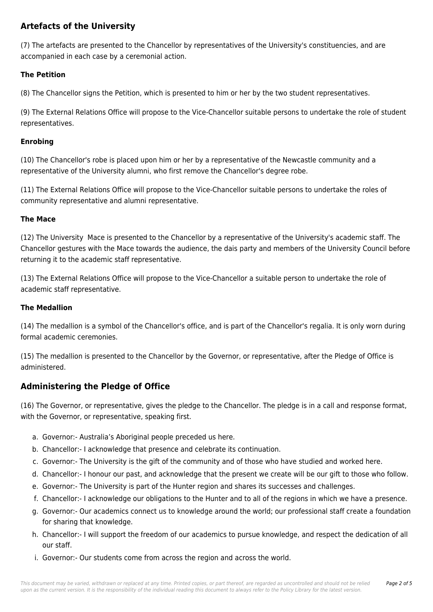### **Artefacts of the University**

(7) The artefacts are presented to the Chancellor by representatives of the University's constituencies, and are accompanied in each case by a ceremonial action.

#### **The Petition**

(8) The Chancellor signs the Petition, which is presented to him or her by the two student representatives.

(9) The External Relations Office will propose to the Vice-Chancellor suitable persons to undertake the role of student representatives.

#### **Enrobing**

(10) The Chancellor's robe is placed upon him or her by a representative of the Newcastle community and a representative of the University alumni, who first remove the Chancellor's degree robe.

(11) The External Relations Office will propose to the Vice-Chancellor suitable persons to undertake the roles of community representative and alumni representative.

#### **The Mace**

(12) The University Mace is presented to the Chancellor by a representative of the University's academic staff. The Chancellor gestures with the Mace towards the audience, the dais party and members of the University Council before returning it to the academic staff representative.

(13) The External Relations Office will propose to the Vice-Chancellor a suitable person to undertake the role of academic staff representative.

#### **The Medallion**

(14) The medallion is a symbol of the Chancellor's office, and is part of the Chancellor's regalia. It is only worn during formal academic ceremonies.

(15) The medallion is presented to the Chancellor by the Governor, or representative, after the Pledge of Office is administered.

### **Administering the Pledge of Office**

(16) The Governor, or representative, gives the pledge to the Chancellor. The pledge is in a call and response format, with the Governor, or representative, speaking first.

- a. Governor:- Australia's Aboriginal people preceded us here.
- b. Chancellor:- I acknowledge that presence and celebrate its continuation.
- c. Governor:- The University is the gift of the community and of those who have studied and worked here.
- d. Chancellor:- I honour our past, and acknowledge that the present we create will be our gift to those who follow.
- e. Governor:- The University is part of the Hunter region and shares its successes and challenges.
- f. Chancellor:- I acknowledge our obligations to the Hunter and to all of the regions in which we have a presence.
- g. Governor:- Our academics connect us to knowledge around the world; our professional staff create a foundation for sharing that knowledge.
- h. Chancellor:- I will support the freedom of our academics to pursue knowledge, and respect the dedication of all our staff.
- i. Governor:- Our students come from across the region and across the world.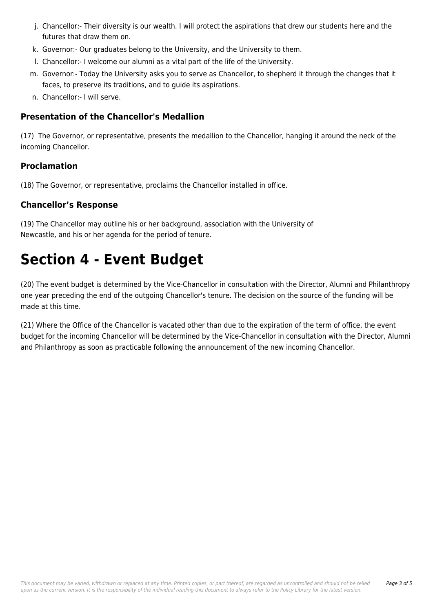- j. Chancellor:- Their diversity is our wealth. I will protect the aspirations that drew our students here and the futures that draw them on.
- k. Governor:- Our graduates belong to the University, and the University to them.
- l. Chancellor:- I welcome our alumni as a vital part of the life of the University.
- m. Governor:- Today the University asks you to serve as Chancellor, to shepherd it through the changes that it faces, to preserve its traditions, and to guide its aspirations.
- n. Chancellor:- I will serve.

### **Presentation of the Chancellor's Medallion**

(17) The Governor, or representative, presents the medallion to the Chancellor, hanging it around the neck of the incoming Chancellor.

#### **Proclamation**

(18) The Governor, or representative, proclaims the Chancellor installed in office.

#### **Chancellor's Response**

(19) The Chancellor may outline his or her background, association with the University of Newcastle, and his or her agenda for the period of tenure.

## **Section 4 - Event Budget**

(20) The event budget is determined by the Vice-Chancellor in consultation with the Director, Alumni and Philanthropy one year preceding the end of the outgoing Chancellor's tenure. The decision on the source of the funding will be made at this time.

(21) Where the Office of the Chancellor is vacated other than due to the expiration of the term of office, the event budget for the incoming Chancellor will be determined by the Vice-Chancellor in consultation with the Director, Alumni and Philanthropy as soon as practicable following the announcement of the new incoming Chancellor.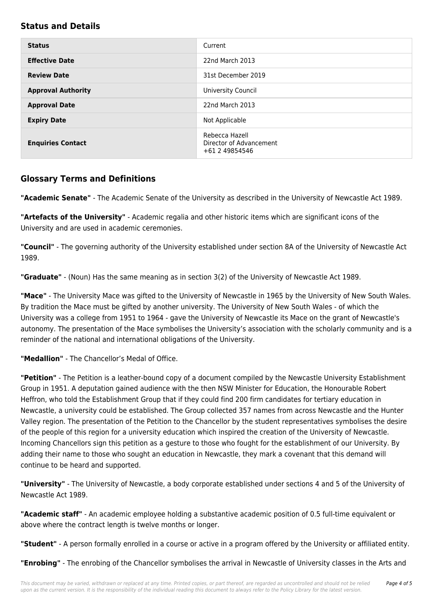#### **Status and Details**

| <b>Status</b>             | Current                                                     |
|---------------------------|-------------------------------------------------------------|
| <b>Effective Date</b>     | 22nd March 2013                                             |
| <b>Review Date</b>        | 31st December 2019                                          |
| <b>Approval Authority</b> | University Council                                          |
| <b>Approval Date</b>      | 22nd March 2013                                             |
| <b>Expiry Date</b>        | Not Applicable                                              |
| <b>Enquiries Contact</b>  | Rebecca Hazell<br>Director of Advancement<br>+61 2 49854546 |

#### **Glossary Terms and Definitions**

**"Academic Senate"** - The Academic Senate of the University as described in the University of Newcastle Act 1989.

**"Artefacts of the University"** - Academic regalia and other historic items which are significant icons of the University and are used in academic ceremonies.

**"Council"** - The governing authority of the University established under section 8A of the University of Newcastle Act 1989.

**"Graduate"** - (Noun) Has the same meaning as in section 3(2) of the University of Newcastle Act 1989.

**"Mace"** - The University Mace was gifted to the University of Newcastle in 1965 by the University of New South Wales. By tradition the Mace must be gifted by another university. The University of New South Wales - of which the University was a college from 1951 to 1964 - gave the University of Newcastle its Mace on the grant of Newcastle's autonomy. The presentation of the Mace symbolises the University's association with the scholarly community and is a reminder of the national and international obligations of the University.

**"Medallion"** - The Chancellor's Medal of Office.

**"Petition"** - The Petition is a leather-bound copy of a document compiled by the Newcastle University Establishment Group in 1951. A deputation gained audience with the then NSW Minister for Education, the Honourable Robert Heffron, who told the Establishment Group that if they could find 200 firm candidates for tertiary education in Newcastle, a university could be established. The Group collected 357 names from across Newcastle and the Hunter Valley region. The presentation of the Petition to the Chancellor by the student representatives symbolises the desire of the people of this region for a university education which inspired the creation of the University of Newcastle. Incoming Chancellors sign this petition as a gesture to those who fought for the establishment of our University. By adding their name to those who sought an education in Newcastle, they mark a covenant that this demand will continue to be heard and supported.

**"University"** - The University of Newcastle, a body corporate established under sections 4 and 5 of the University of Newcastle Act 1989.

**"Academic staff"** - An academic employee holding a substantive academic position of 0.5 full-time equivalent or above where the contract length is twelve months or longer.

**"Student"** - A person formally enrolled in a course or active in a program offered by the University or affiliated entity.

**"Enrobing"** - The enrobing of the Chancellor symbolises the arrival in Newcastle of University classes in the Arts and